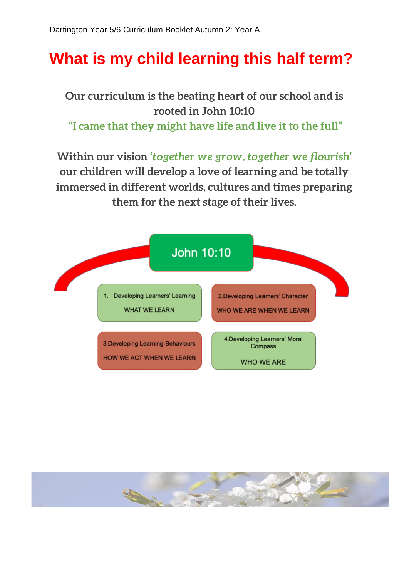## **What is my child learning this half term?**

**Our curriculum is the beating heart of our school and is rooted in John 10:10 "I came that they might have life and live it to the full"**

**Within our vision** *'together we grow, together we flourish'*  **our children will develop a love of learning and be totally immersed in different worlds, cultures and times preparing them for the next stage of their lives.**



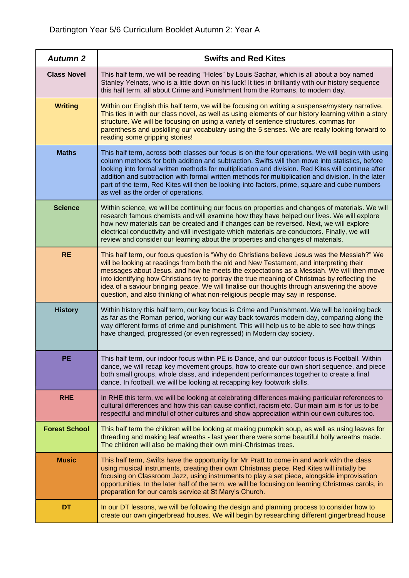| <b>Autumn 2</b>      | <b>Swifts and Red Kites</b>                                                                                                                                                                                                                                                                                                                                                                                                                                                                                                                                         |
|----------------------|---------------------------------------------------------------------------------------------------------------------------------------------------------------------------------------------------------------------------------------------------------------------------------------------------------------------------------------------------------------------------------------------------------------------------------------------------------------------------------------------------------------------------------------------------------------------|
| <b>Class Novel</b>   | This half term, we will be reading "Holes" by Louis Sachar, which is all about a boy named<br>Stanley Yelnats, who is a little down on his luck! It ties in brilliantly with our history sequence<br>this half term, all about Crime and Punishment from the Romans, to modern day.                                                                                                                                                                                                                                                                                 |
| <b>Writing</b>       | Within our English this half term, we will be focusing on writing a suspense/mystery narrative.<br>This ties in with our class novel, as well as using elements of our history learning within a story<br>structure. We will be focusing on using a variety of sentence structures, commas for<br>parenthesis and upskilling our vocabulary using the 5 senses. We are really looking forward to<br>reading some gripping stories!                                                                                                                                  |
| <b>Maths</b>         | This half term, across both classes our focus is on the four operations. We will begin with using<br>column methods for both addition and subtraction. Swifts will then move into statistics, before<br>looking into formal written methods for multiplication and division. Red Kites will continue after<br>addition and subtraction with formal written methods for multiplication and division. In the later<br>part of the term, Red Kites will then be looking into factors, prime, square and cube numbers<br>as well as the order of operations.            |
| <b>Science</b>       | Within science, we will be continuing our focus on properties and changes of materials. We will<br>research famous chemists and will examine how they have helped our lives. We will explore<br>how new materials can be created and if changes can be reversed. Next, we will explore<br>electrical conductivity and will investigate which materials are conductors. Finally, we will<br>review and consider our learning about the properties and changes of materials.                                                                                          |
| <b>RE</b>            | This half term, our focus question is "Why do Christians believe Jesus was the Messiah?" We<br>will be looking at readings from both the old and New Testament, and interpreting their<br>messages about Jesus, and how he meets the expectations as a Messiah. We will then move<br>into identifying how Christians try to portray the true meaning of Christmas by reflecting the<br>idea of a saviour bringing peace. We will finalise our thoughts through answering the above<br>question, and also thinking of what non-religious people may say in response. |
| <b>History</b>       | Within history this half term, our key focus is Crime and Punishment. We will be looking back<br>as far as the Roman period, working our way back towards modern day, comparing along the<br>way different forms of crime and punishment. This will help us to be able to see how things<br>have changed, progressed (or even regressed) in Modern day society.                                                                                                                                                                                                     |
| PE                   | This half term, our indoor focus within PE is Dance, and our outdoor focus is Football. Within<br>dance, we will recap key movement groups, how to create our own short sequence, and piece<br>both small groups, whole class, and independent performances together to create a final<br>dance. In football, we will be looking at recapping key footwork skills.                                                                                                                                                                                                  |
| <b>RHE</b>           | In RHE this term, we will be looking at celebrating differences making particular references to<br>cultural differences and how this can cause conflict, racism etc. Our main aim is for us to be<br>respectful and mindful of other cultures and show appreciation within our own cultures too.                                                                                                                                                                                                                                                                    |
| <b>Forest School</b> | This half term the children will be looking at making pumpkin soup, as well as using leaves for<br>threading and making leaf wreaths - last year there were some beautiful holly wreaths made.<br>The children will also be making their own mini-Christmas trees.                                                                                                                                                                                                                                                                                                  |
| <b>Music</b>         | This half term, Swifts have the opportunity for Mr Pratt to come in and work with the class<br>using musical instruments, creating their own Christmas piece. Red Kites will initially be<br>focusing on Classroom Jazz, using instruments to play a set piece, alongside improvisation<br>opportunities. In the later half of the term, we will be focusing on learning Christmas carols, in<br>preparation for our carols service at St Mary's Church.                                                                                                            |
| <b>DT</b>            | In our DT lessons, we will be following the design and planning process to consider how to<br>create our own gingerbread houses. We will begin by researching different gingerbread house                                                                                                                                                                                                                                                                                                                                                                           |